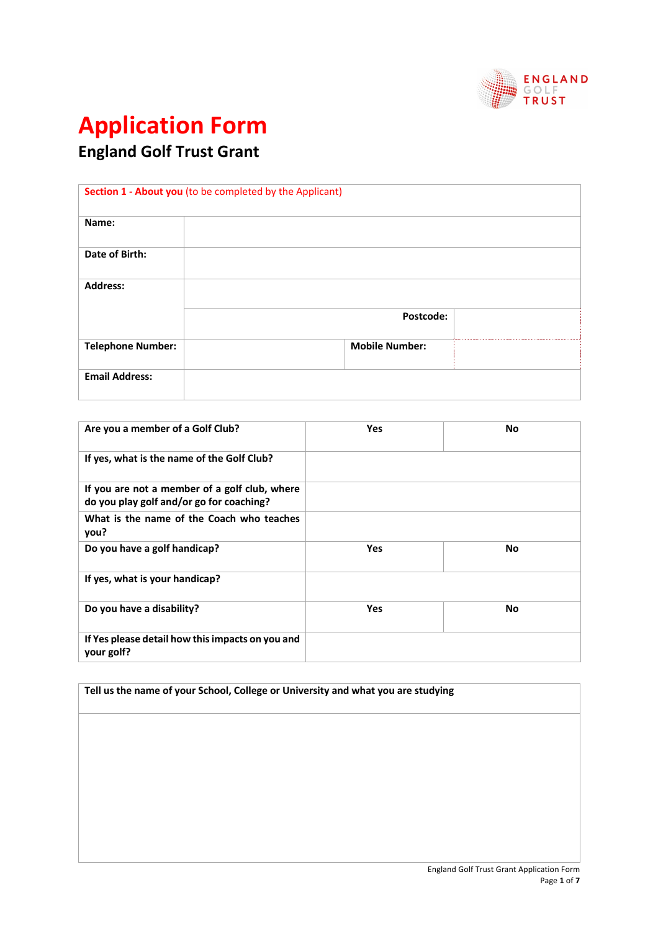

## **Application Form**

**England Golf Trust Grant**

|                          | Section 1 - About you (to be completed by the Applicant) |  |
|--------------------------|----------------------------------------------------------|--|
| Name:                    |                                                          |  |
| Date of Birth:           |                                                          |  |
| <b>Address:</b>          |                                                          |  |
|                          | Postcode:                                                |  |
| <b>Telephone Number:</b> | <b>Mobile Number:</b>                                    |  |
| <b>Email Address:</b>    |                                                          |  |

| Are you a member of a Golf Club?                                                          | <b>Yes</b> | <b>No</b> |
|-------------------------------------------------------------------------------------------|------------|-----------|
| If yes, what is the name of the Golf Club?                                                |            |           |
| If you are not a member of a golf club, where<br>do you play golf and/or go for coaching? |            |           |
| What is the name of the Coach who teaches<br>you?                                         |            |           |
| Do you have a golf handicap?                                                              | <b>Yes</b> | No        |
| If yes, what is your handicap?                                                            |            |           |
| Do you have a disability?                                                                 | Yes        | No        |
| If Yes please detail how this impacts on you and<br>your golf?                            |            |           |

**Tell us the name of your School, College or University and what you are studying**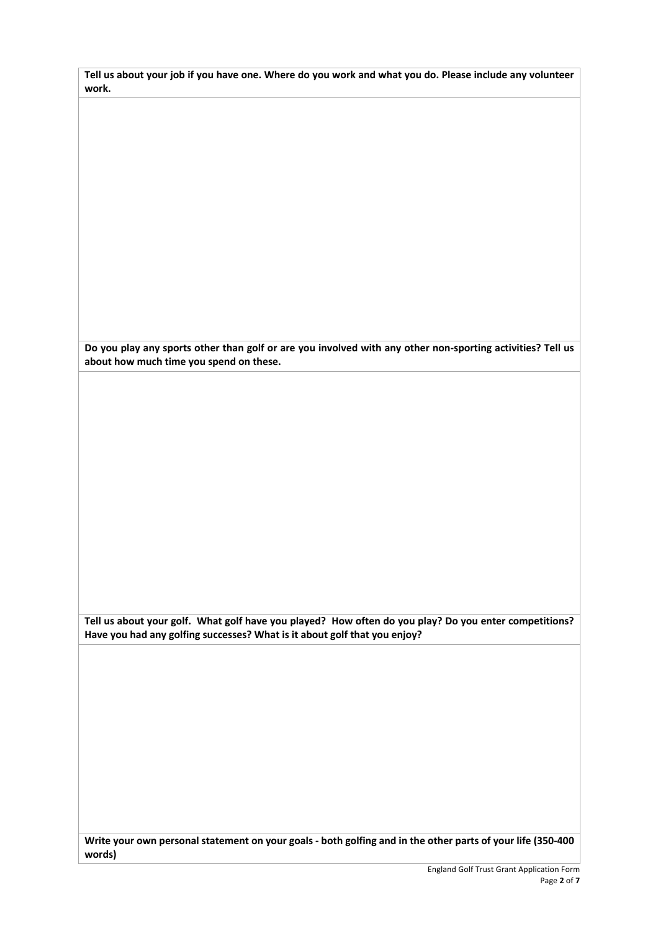| Tell us about your job if you have one. Where do you work and what you do. Please include any volunteer |  |
|---------------------------------------------------------------------------------------------------------|--|
| work.                                                                                                   |  |

**Do you play any sports other than golf or are you involved with any other non-sporting activities? Tell us about how much time you spend on these.**

**Tell us about your golf. What golf have you played? How often do you play? Do you enter competitions? Have you had any golfing successes? What is it about golf that you enjoy?**

**Write your own personal statement on your goals - both golfing and in the other parts of your life (350-400 words)**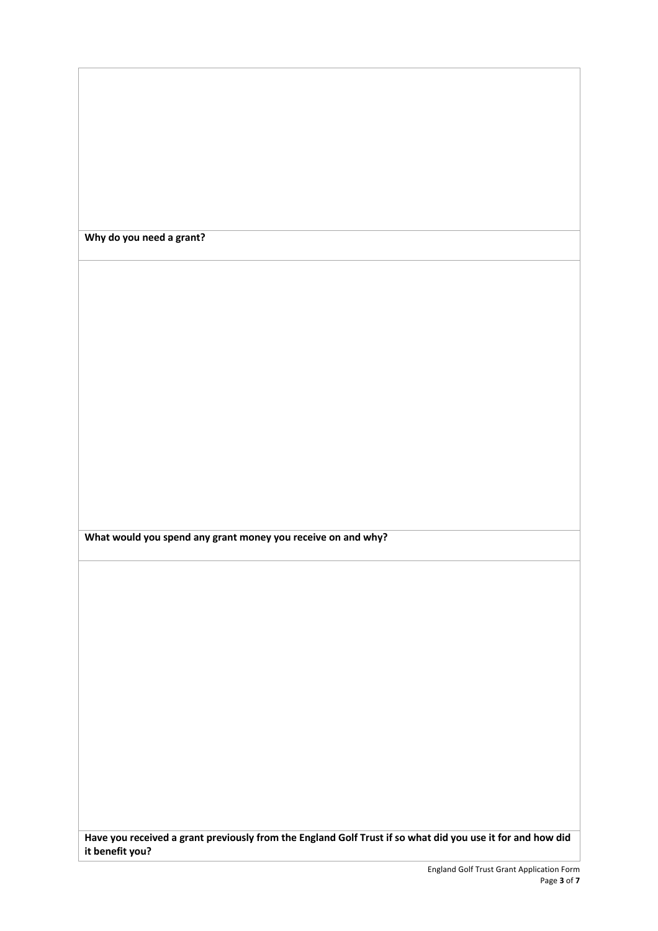**Why do you need a grant?**

**What would you spend any grant money you receive on and why?**

**Have you received a grant previously from the England Golf Trust if so what did you use it for and how did it benefit you?**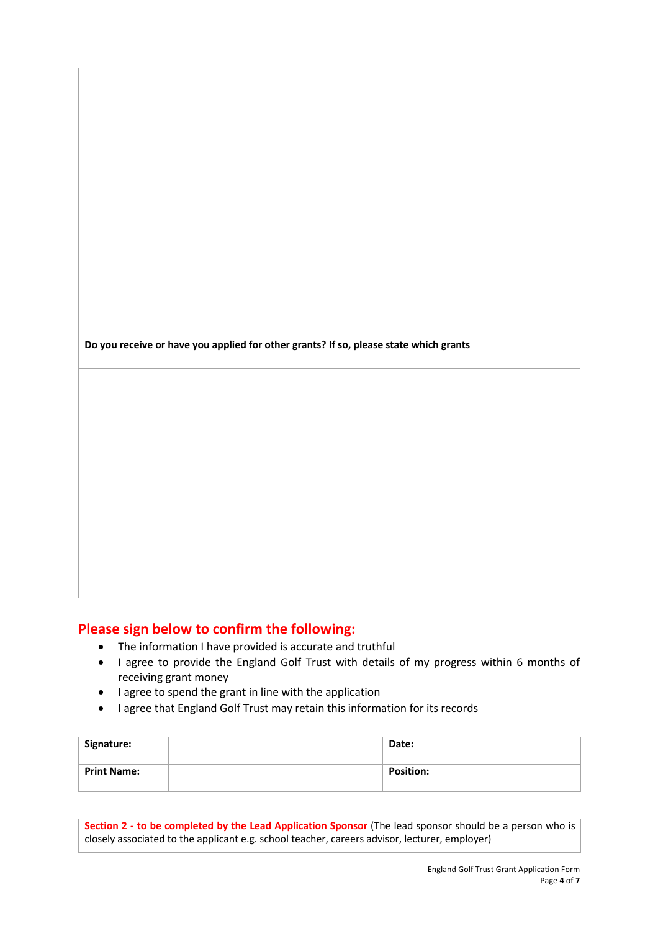**Do you receive or have you applied for other grants? If so, please state which grants**

## **Please sign below to confirm the following:**

- The information I have provided is accurate and truthful
- I agree to provide the England Golf Trust with details of my progress within 6 months of receiving grant money
- I agree to spend the grant in line with the application
- I agree that England Golf Trust may retain this information for its records

| Signature:         | Date:            |  |
|--------------------|------------------|--|
| <b>Print Name:</b> | <b>Position:</b> |  |

**Section 2 - to be completed by the Lead Application Sponsor** (The lead sponsor should be a person who is closely associated to the applicant e.g. school teacher, careers advisor, lecturer, employer)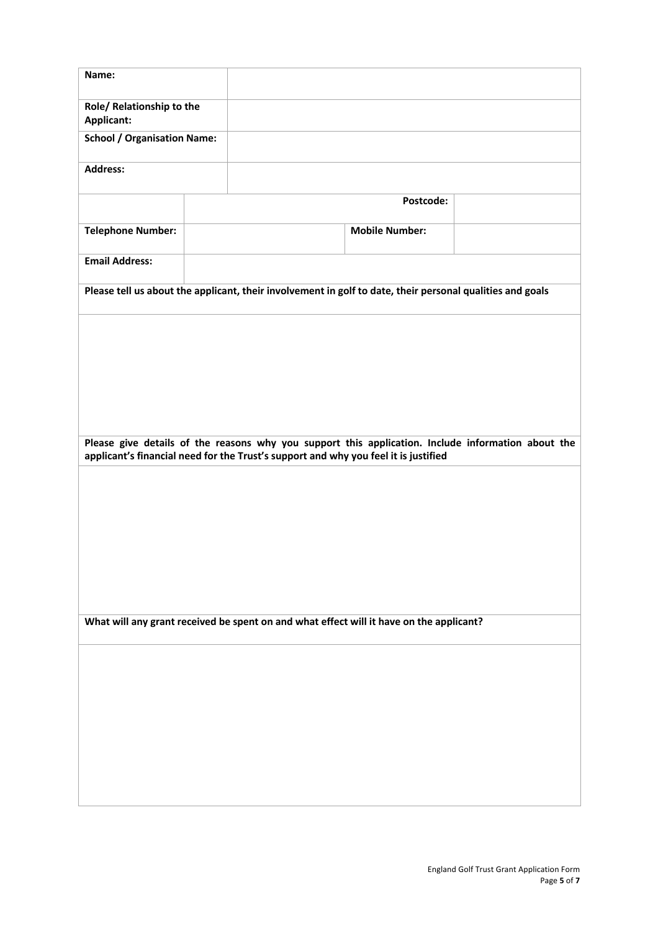| Name:                                                                                                                                                                                     |                                                                                                           |                       |  |
|-------------------------------------------------------------------------------------------------------------------------------------------------------------------------------------------|-----------------------------------------------------------------------------------------------------------|-----------------------|--|
| Role/ Relationship to the<br><b>Applicant:</b>                                                                                                                                            |                                                                                                           |                       |  |
| <b>School / Organisation Name:</b>                                                                                                                                                        |                                                                                                           |                       |  |
| <b>Address:</b>                                                                                                                                                                           |                                                                                                           |                       |  |
|                                                                                                                                                                                           |                                                                                                           | Postcode:             |  |
| <b>Telephone Number:</b>                                                                                                                                                                  |                                                                                                           | <b>Mobile Number:</b> |  |
| <b>Email Address:</b>                                                                                                                                                                     |                                                                                                           |                       |  |
|                                                                                                                                                                                           | Please tell us about the applicant, their involvement in golf to date, their personal qualities and goals |                       |  |
|                                                                                                                                                                                           |                                                                                                           |                       |  |
|                                                                                                                                                                                           |                                                                                                           |                       |  |
|                                                                                                                                                                                           |                                                                                                           |                       |  |
|                                                                                                                                                                                           |                                                                                                           |                       |  |
| Please give details of the reasons why you support this application. Include information about the<br>applicant's financial need for the Trust's support and why you feel it is justified |                                                                                                           |                       |  |
|                                                                                                                                                                                           |                                                                                                           |                       |  |
|                                                                                                                                                                                           |                                                                                                           |                       |  |
|                                                                                                                                                                                           |                                                                                                           |                       |  |
|                                                                                                                                                                                           |                                                                                                           |                       |  |
|                                                                                                                                                                                           |                                                                                                           |                       |  |
|                                                                                                                                                                                           | What will any grant received be spent on and what effect will it have on the applicant?                   |                       |  |
|                                                                                                                                                                                           |                                                                                                           |                       |  |
|                                                                                                                                                                                           |                                                                                                           |                       |  |
|                                                                                                                                                                                           |                                                                                                           |                       |  |
|                                                                                                                                                                                           |                                                                                                           |                       |  |
|                                                                                                                                                                                           |                                                                                                           |                       |  |
|                                                                                                                                                                                           |                                                                                                           |                       |  |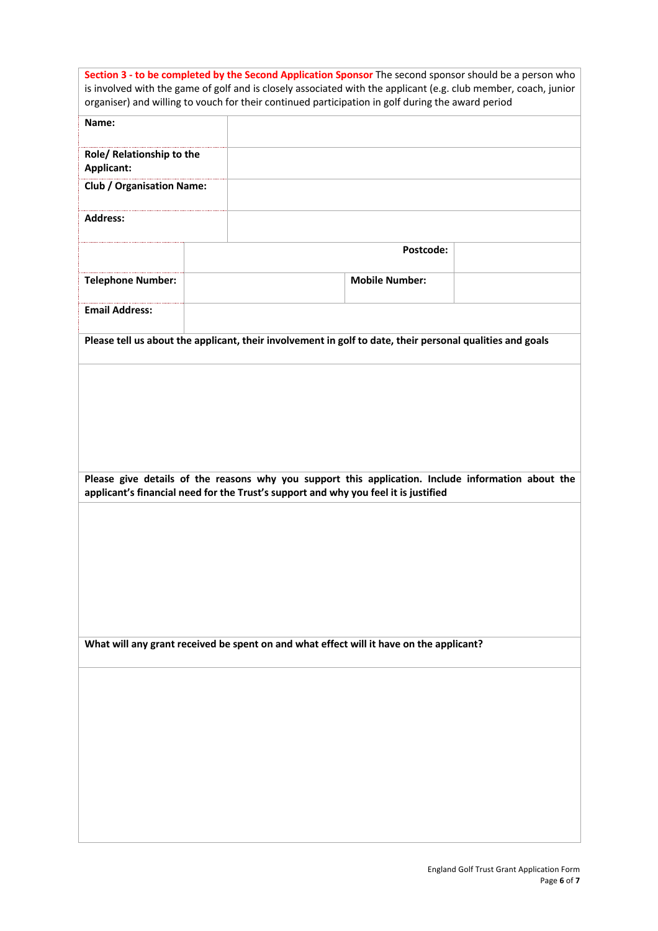| Section 3 - to be completed by the Second Application Sponsor The second sponsor should be a person who<br>is involved with the game of golf and is closely associated with the applicant (e.g. club member, coach, junior<br>organiser) and willing to vouch for their continued participation in golf during the award period |                                                                                                                                                                                           |                       |  |
|---------------------------------------------------------------------------------------------------------------------------------------------------------------------------------------------------------------------------------------------------------------------------------------------------------------------------------|-------------------------------------------------------------------------------------------------------------------------------------------------------------------------------------------|-----------------------|--|
| Name:                                                                                                                                                                                                                                                                                                                           |                                                                                                                                                                                           |                       |  |
| Role/ Relationship to the<br>Applicant:                                                                                                                                                                                                                                                                                         |                                                                                                                                                                                           |                       |  |
| <b>Club / Organisation Name:</b>                                                                                                                                                                                                                                                                                                |                                                                                                                                                                                           |                       |  |
| <b>Address:</b>                                                                                                                                                                                                                                                                                                                 |                                                                                                                                                                                           |                       |  |
|                                                                                                                                                                                                                                                                                                                                 |                                                                                                                                                                                           | Postcode:             |  |
| <b>Telephone Number:</b>                                                                                                                                                                                                                                                                                                        |                                                                                                                                                                                           | <b>Mobile Number:</b> |  |
| <b>Email Address:</b>                                                                                                                                                                                                                                                                                                           |                                                                                                                                                                                           |                       |  |
|                                                                                                                                                                                                                                                                                                                                 | Please tell us about the applicant, their involvement in golf to date, their personal qualities and goals                                                                                 |                       |  |
|                                                                                                                                                                                                                                                                                                                                 |                                                                                                                                                                                           |                       |  |
|                                                                                                                                                                                                                                                                                                                                 |                                                                                                                                                                                           |                       |  |
|                                                                                                                                                                                                                                                                                                                                 |                                                                                                                                                                                           |                       |  |
|                                                                                                                                                                                                                                                                                                                                 | Please give details of the reasons why you support this application. Include information about the<br>applicant's financial need for the Trust's support and why you feel it is justified |                       |  |
|                                                                                                                                                                                                                                                                                                                                 |                                                                                                                                                                                           |                       |  |
|                                                                                                                                                                                                                                                                                                                                 |                                                                                                                                                                                           |                       |  |
|                                                                                                                                                                                                                                                                                                                                 |                                                                                                                                                                                           |                       |  |
|                                                                                                                                                                                                                                                                                                                                 |                                                                                                                                                                                           |                       |  |
| What will any grant received be spent on and what effect will it have on the applicant?                                                                                                                                                                                                                                         |                                                                                                                                                                                           |                       |  |
|                                                                                                                                                                                                                                                                                                                                 |                                                                                                                                                                                           |                       |  |
|                                                                                                                                                                                                                                                                                                                                 |                                                                                                                                                                                           |                       |  |
|                                                                                                                                                                                                                                                                                                                                 |                                                                                                                                                                                           |                       |  |
|                                                                                                                                                                                                                                                                                                                                 |                                                                                                                                                                                           |                       |  |
|                                                                                                                                                                                                                                                                                                                                 |                                                                                                                                                                                           |                       |  |
|                                                                                                                                                                                                                                                                                                                                 |                                                                                                                                                                                           |                       |  |